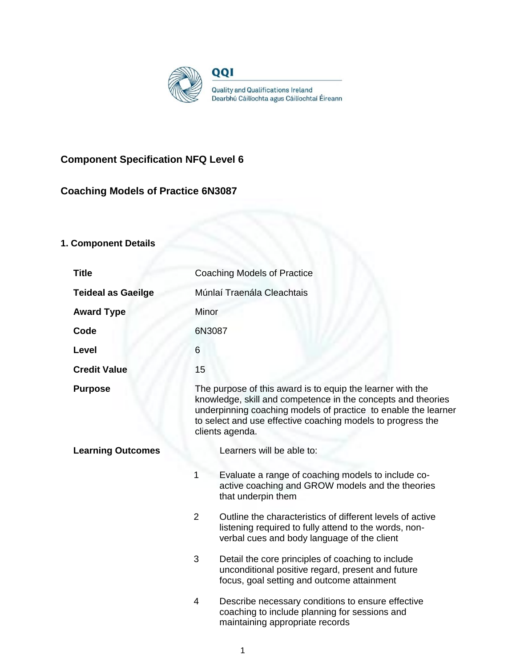

# **Component Specification NFQ Level 6**

## **Coaching Models of Practice 6N3087**

## **1. Component Details**

| <b>Title</b>              | <b>Coaching Models of Practice</b>                                                                                                                                                                                                                                             |                                                                                                                                                                   |
|---------------------------|--------------------------------------------------------------------------------------------------------------------------------------------------------------------------------------------------------------------------------------------------------------------------------|-------------------------------------------------------------------------------------------------------------------------------------------------------------------|
| <b>Teideal as Gaeilge</b> | Múnlaí Traenála Cleachtais                                                                                                                                                                                                                                                     |                                                                                                                                                                   |
| <b>Award Type</b>         | Minor                                                                                                                                                                                                                                                                          |                                                                                                                                                                   |
| Code                      | 6N3087                                                                                                                                                                                                                                                                         |                                                                                                                                                                   |
| Level                     | 6                                                                                                                                                                                                                                                                              |                                                                                                                                                                   |
| <b>Credit Value</b>       | 15                                                                                                                                                                                                                                                                             |                                                                                                                                                                   |
| <b>Purpose</b>            | The purpose of this award is to equip the learner with the<br>knowledge, skill and competence in the concepts and theories<br>underpinning coaching models of practice to enable the learner<br>to select and use effective coaching models to progress the<br>clients agenda. |                                                                                                                                                                   |
| <b>Learning Outcomes</b>  |                                                                                                                                                                                                                                                                                | Learners will be able to:                                                                                                                                         |
|                           | 1                                                                                                                                                                                                                                                                              | Evaluate a range of coaching models to include co-<br>active coaching and GROW models and the theories<br>that underpin them                                      |
|                           | $\overline{2}$                                                                                                                                                                                                                                                                 | Outline the characteristics of different levels of active<br>listening required to fully attend to the words, non-<br>verbal cues and body language of the client |
|                           | 3                                                                                                                                                                                                                                                                              | Detail the core principles of coaching to include<br>unconditional positive regard, present and future<br>focus, goal setting and outcome attainment              |
|                           | 4                                                                                                                                                                                                                                                                              | Describe necessary conditions to ensure effective<br>coaching to include planning for sessions and<br>maintaining appropriate records                             |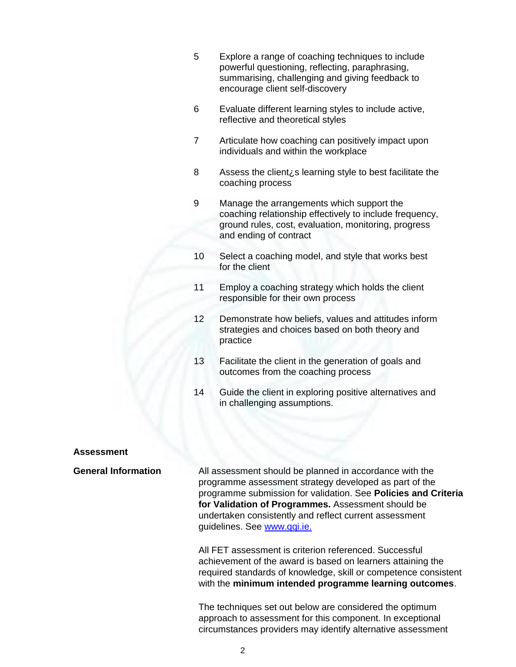- 5 Explore a range of coaching techniques to include powerful questioning, reflecting, paraphrasing, summarising, challenging and giving feedback to encourage client self-discovery
- 6 Evaluate different learning styles to include active, reflective and theoretical styles
- 7 Articulate how coaching can positively impact upon individuals and within the workplace
- 8 Assess the client<sub>i</sub>'s learning style to best facilitate the coaching process
- 9 Manage the arrangements which support the coaching relationship effectively to include frequency, ground rules, cost, evaluation, monitoring, progress and ending of contract
- 10 Select a coaching model, and style that works best for the client
- 11 Employ a coaching strategy which holds the client responsible for their own process
- 12 Demonstrate how beliefs, values and attitudes inform strategies and choices based on both theory and practice
- 13 Facilitate the client in the generation of goals and outcomes from the coaching process
- 14 Guide the client in exploring positive alternatives and in challenging assumptions.

#### **Assessment**

**General Information** All assessment should be planned in accordance with the programme assessment strategy developed as part of the programme submission for validation. See **Policies and Criteria for Validation of Programmes.** Assessment should be undertaken consistently and reflect current assessment guidelines. See [www.qqi.ie.](http://www.qqi.ie/) 

> All FET assessment is criterion referenced. Successful achievement of the award is based on learners attaining the required standards of knowledge, skill or competence consistent with the **minimum intended programme learning outcomes**.

The techniques set out below are considered the optimum approach to assessment for this component. In exceptional circumstances providers may identify alternative assessment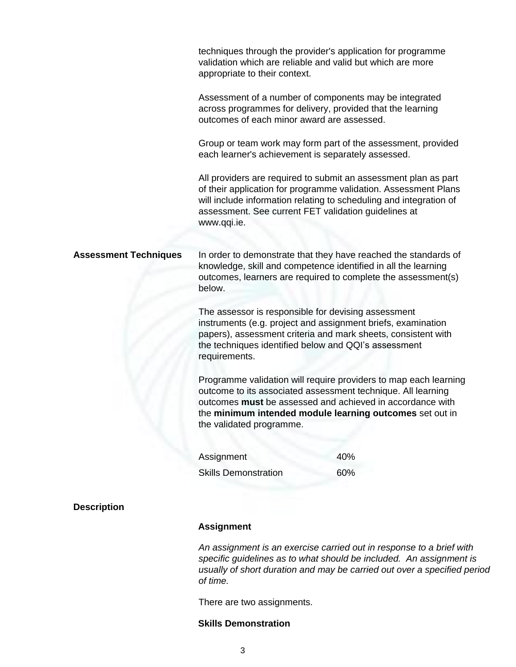|                              | techniques through the provider's application for programme<br>validation which are reliable and valid but which are more<br>appropriate to their context.                                                                                                                            |     |  |  |
|------------------------------|---------------------------------------------------------------------------------------------------------------------------------------------------------------------------------------------------------------------------------------------------------------------------------------|-----|--|--|
|                              | Assessment of a number of components may be integrated<br>across programmes for delivery, provided that the learning<br>outcomes of each minor award are assessed.                                                                                                                    |     |  |  |
|                              | Group or team work may form part of the assessment, provided<br>each learner's achievement is separately assessed.                                                                                                                                                                    |     |  |  |
|                              | All providers are required to submit an assessment plan as part<br>of their application for programme validation. Assessment Plans<br>will include information relating to scheduling and integration of<br>assessment. See current FET validation guidelines at<br>www.qqi.ie.       |     |  |  |
| <b>Assessment Techniques</b> | In order to demonstrate that they have reached the standards of<br>knowledge, skill and competence identified in all the learning<br>outcomes, learners are required to complete the assessment(s)<br>below.                                                                          |     |  |  |
|                              | The assessor is responsible for devising assessment<br>instruments (e.g. project and assignment briefs, examination<br>papers), assessment criteria and mark sheets, consistent with<br>the techniques identified below and QQI's assessment<br>requirements.                         |     |  |  |
|                              | Programme validation will require providers to map each learning<br>outcome to its associated assessment technique. All learning<br>outcomes must be assessed and achieved in accordance with<br>the minimum intended module learning outcomes set out in<br>the validated programme. |     |  |  |
|                              | Assignment                                                                                                                                                                                                                                                                            | 40% |  |  |
|                              | <b>Skills Demonstration</b>                                                                                                                                                                                                                                                           | 60% |  |  |
| <b>Description</b>           |                                                                                                                                                                                                                                                                                       |     |  |  |
|                              | <b>Assignment</b>                                                                                                                                                                                                                                                                     |     |  |  |

*An assignment is an exercise carried out in response to a brief with specific guidelines as to what should be included. An assignment is usually of short duration and may be carried out over a specified period of time.*

There are two assignments.

## **Skills Demonstration**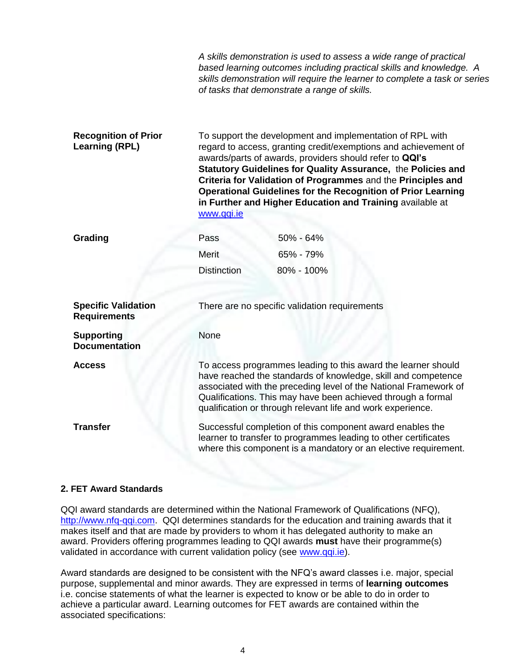|                                                      |                                                                                                                                                                                                                                                                                                                                                                                                                                                                           | A skills demonstration is used to assess a wide range of practical<br>based learning outcomes including practical skills and knowledge. A<br>skills demonstration will require the learner to complete a task or series<br>of tasks that demonstrate a range of skills. |  |  |
|------------------------------------------------------|---------------------------------------------------------------------------------------------------------------------------------------------------------------------------------------------------------------------------------------------------------------------------------------------------------------------------------------------------------------------------------------------------------------------------------------------------------------------------|-------------------------------------------------------------------------------------------------------------------------------------------------------------------------------------------------------------------------------------------------------------------------|--|--|
| <b>Recognition of Prior</b><br><b>Learning (RPL)</b> | To support the development and implementation of RPL with<br>regard to access, granting credit/exemptions and achievement of<br>awards/parts of awards, providers should refer to QQI's<br>Statutory Guidelines for Quality Assurance, the Policies and<br>Criteria for Validation of Programmes and the Principles and<br><b>Operational Guidelines for the Recognition of Prior Learning</b><br>in Further and Higher Education and Training available at<br>www.qqi.ie |                                                                                                                                                                                                                                                                         |  |  |
| Grading                                              | Pass                                                                                                                                                                                                                                                                                                                                                                                                                                                                      | 50% - 64%                                                                                                                                                                                                                                                               |  |  |
|                                                      | <b>Merit</b>                                                                                                                                                                                                                                                                                                                                                                                                                                                              | 65% - 79%                                                                                                                                                                                                                                                               |  |  |
|                                                      | <b>Distinction</b>                                                                                                                                                                                                                                                                                                                                                                                                                                                        | 80% - 100%                                                                                                                                                                                                                                                              |  |  |
| <b>Specific Validation</b><br><b>Requirements</b>    |                                                                                                                                                                                                                                                                                                                                                                                                                                                                           | There are no specific validation requirements                                                                                                                                                                                                                           |  |  |
| <b>Supporting</b><br><b>Documentation</b>            | None                                                                                                                                                                                                                                                                                                                                                                                                                                                                      |                                                                                                                                                                                                                                                                         |  |  |
| <b>Access</b>                                        |                                                                                                                                                                                                                                                                                                                                                                                                                                                                           | To access programmes leading to this award the learner should<br>have reached the standards of knowledge, skill and competence<br>associated with the preceding level of the National Framework of<br>Qualifications. This may have been achieved through a formal      |  |  |

**Transfer** Successful completion of this component award enables the learner to transfer to programmes leading to other certificates where this component is a mandatory or an elective requirement.

qualification or through relevant life and work experience.

## **2. FET Award Standards**

QQI award standards are determined within the National Framework of Qualifications (NFQ), [http://www.nfq-qqi.com.](http://www.nfq-qqi.com/) QQI determines standards for the education and training awards that it makes itself and that are made by providers to whom it has delegated authority to make an award. Providers offering programmes leading to QQI awards **must** have their programme(s) validated in accordance with current validation policy (see [www.qqi.ie\)](http://www.qqi.ie/).

Award standards are designed to be consistent with the NFQ's award classes i.e. major, special purpose, supplemental and minor awards. They are expressed in terms of **learning outcomes**  i.e. concise statements of what the learner is expected to know or be able to do in order to achieve a particular award. Learning outcomes for FET awards are contained within the associated specifications: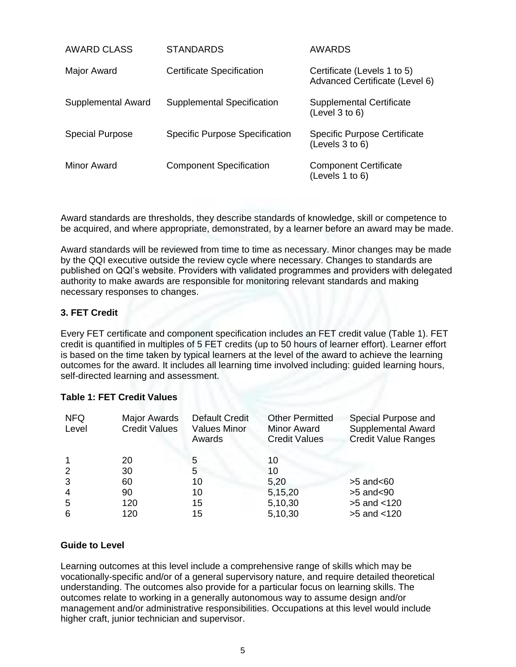| AWARD CLASS            | <b>STANDARDS</b>                      | AWARDS                                                        |
|------------------------|---------------------------------------|---------------------------------------------------------------|
| Major Award            | <b>Certificate Specification</b>      | Certificate (Levels 1 to 5)<br>Advanced Certificate (Level 6) |
| Supplemental Award     | Supplemental Specification            | <b>Supplemental Certificate</b><br>(Level 3 to 6)             |
| <b>Special Purpose</b> | <b>Specific Purpose Specification</b> | <b>Specific Purpose Certificate</b><br>(Levels 3 to 6)        |
| Minor Award            | <b>Component Specification</b>        | <b>Component Certificate</b><br>(Levels 1 to 6)               |

Award standards are thresholds, they describe standards of knowledge, skill or competence to be acquired, and where appropriate, demonstrated, by a learner before an award may be made.

Award standards will be reviewed from time to time as necessary. Minor changes may be made by the QQI executive outside the review cycle where necessary. Changes to standards are published on QQI's website. Providers with validated programmes and providers with delegated authority to make awards are responsible for monitoring relevant standards and making necessary responses to changes.

## **3. FET Credit**

Every FET certificate and component specification includes an FET credit value (Table 1). FET credit is quantified in multiples of 5 FET credits (up to 50 hours of learner effort). Learner effort is based on the time taken by typical learners at the level of the award to achieve the learning outcomes for the award. It includes all learning time involved including: guided learning hours, self-directed learning and assessment.

## **Table 1: FET Credit Values**

| <b>NFQ</b><br>Level | <b>Major Awards</b><br><b>Credit Values</b> | <b>Default Credit</b><br><b>Values Minor</b><br>Awards | <b>Other Permitted</b><br><b>Minor Award</b><br><b>Credit Values</b> | Special Purpose and<br><b>Supplemental Award</b><br><b>Credit Value Ranges</b> |
|---------------------|---------------------------------------------|--------------------------------------------------------|----------------------------------------------------------------------|--------------------------------------------------------------------------------|
|                     | 20                                          | 5                                                      | 10                                                                   |                                                                                |
| 2                   | 30                                          | 5                                                      | 10                                                                   |                                                                                |
| 3                   | 60                                          | 10                                                     | 5,20                                                                 | $>5$ and $< 60$                                                                |
| $\overline{4}$      | 90                                          | 10                                                     | 5,15,20                                                              | $>5$ and $< 90$                                                                |
| -5                  | 120                                         | 15                                                     | 5,10,30                                                              | $>5$ and $< 120$                                                               |
| 6                   | 120                                         | 15                                                     | 5,10,30                                                              | $>5$ and $< 120$                                                               |

## **Guide to Level**

Learning outcomes at this level include a comprehensive range of skills which may be vocationally-specific and/or of a general supervisory nature, and require detailed theoretical understanding. The outcomes also provide for a particular focus on learning skills. The outcomes relate to working in a generally autonomous way to assume design and/or management and/or administrative responsibilities. Occupations at this level would include higher craft, junior technician and supervisor.